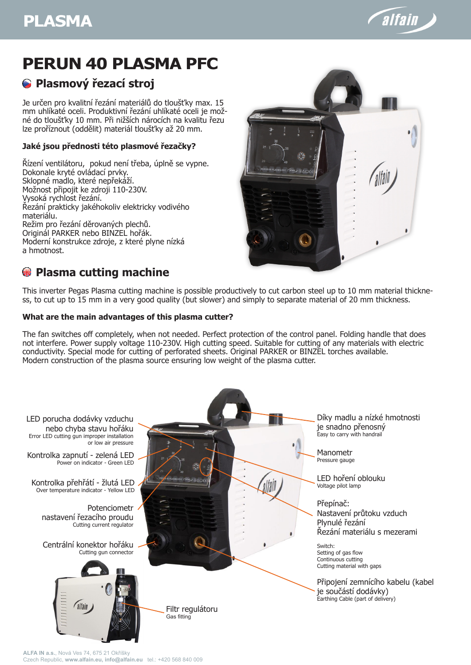# **PLASMA**



# **PERUN 40 PLASMA PFC**

# **Plasmový řezací stroj**

Je určen pro kvalitní řezání materiálů do tloušťky max. 15 mm uhlíkaté oceli. Produktivní řezání uhlíkaté oceli je možné do tloušťky 10 mm. Při nižších nárocích na kvalitu řezu lze proříznout (oddělit) materiál tloušťky až 20 mm.

### **Jaké jsou přednosti této plasmové řezačky?**

Řízení ventilátoru, pokud není třeba, úplně se vypne. Dokonale kryté ovládací prvky. Sklopné madlo, které nepřekáží. Možnost připojit ke zdroji 110-230V. Vysoká rychlost řezání. Řezání prakticky jakéhokoliv elektricky vodivého materiálu. Režim pro řezání děrovaných plechů. Originál PARKER nebo BINZEL hořák. Moderní konstrukce zdroje, z které plyne nízká a hmotnost.



This inverter Pegas Plasma cutting machine is possible productively to cut carbon steel up to 10 mm material thickness, to cut up to 15 mm in a very good quality (but slower) and simply to separate material of 20 mm thickness.

#### **What are the main advantages of this plasma cutter?**

The fan switches off completely, when not needed. Perfect protection of the control panel. Folding handle that does not interfere. Power supply voltage 110-230V. High cutting speed. Suitable for cutting of any materials with electric conductivity. Special mode for cutting of perforated sheets. Original PARKER or BINZEL torches available. Modern construction of the plasma source ensuring low weight of the plasma cutter.